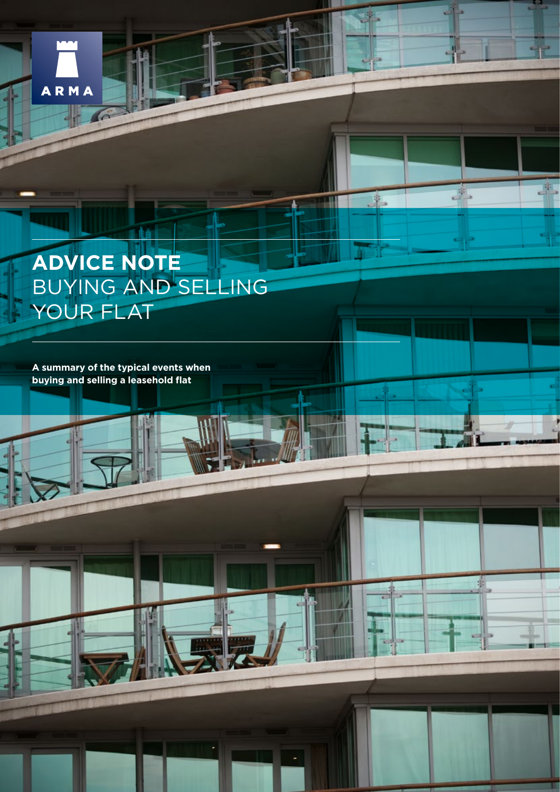

 $\sqrt{6}$ 

# **ADVICE NOTE** BUYING AND SELLING YOUR FLAT

 $\mathbf{1}$ 

J.

4

**TH** 

**A summary of the typical events when buying and selling a leasehold flat**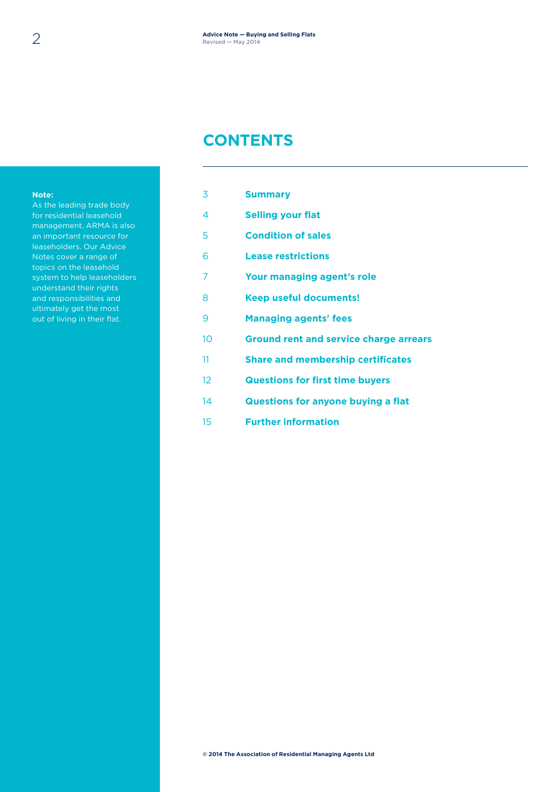#### **CONTENTS**

#### **Note:**

As the leading trade body for residential leasehold management, ARMA is also an important resource for leaseholders. Our Advice Notes cover a range of topics on the leasehold system to help leaseholders understand their rights and responsibilities and ultimately get the most out of living in their flat.

| 3  | <b>Summary</b>                            |
|----|-------------------------------------------|
| 4  | <b>Selling your flat</b>                  |
| 5  | <b>Condition of sales</b>                 |
| 6  | <b>Lease restrictions</b>                 |
| 7  | Your managing agent's role                |
| 8  | <b>Keep useful documents!</b>             |
| 9  | <b>Managing agents' fees</b>              |
| 10 | Ground rent and service charge arrears    |
| 11 | <b>Share and membership certificates</b>  |
| 12 | <b>Questions for first time buyers</b>    |
| 14 | <b>Questions for anyone buying a flat</b> |
| 15 | <b>Further information</b>                |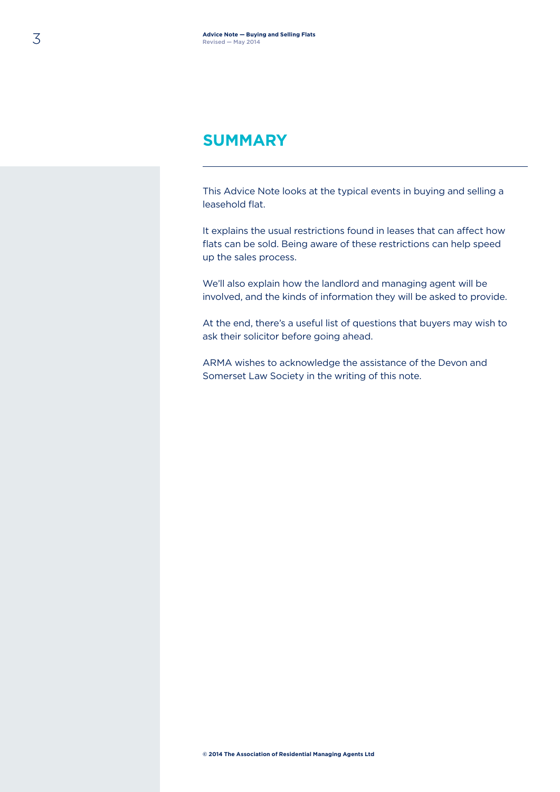#### **SUMMARY**

This Advice Note looks at the typical events in buying and selling a leasehold flat.

It explains the usual restrictions found in leases that can affect how flats can be sold. Being aware of these restrictions can help speed up the sales process.

We'll also explain how the landlord and managing agent will be involved, and the kinds of information they will be asked to provide.

At the end, there's a useful list of questions that buyers may wish to ask their solicitor before going ahead.

ARMA wishes to acknowledge the assistance of the Devon and Somerset Law Society in the writing of this note.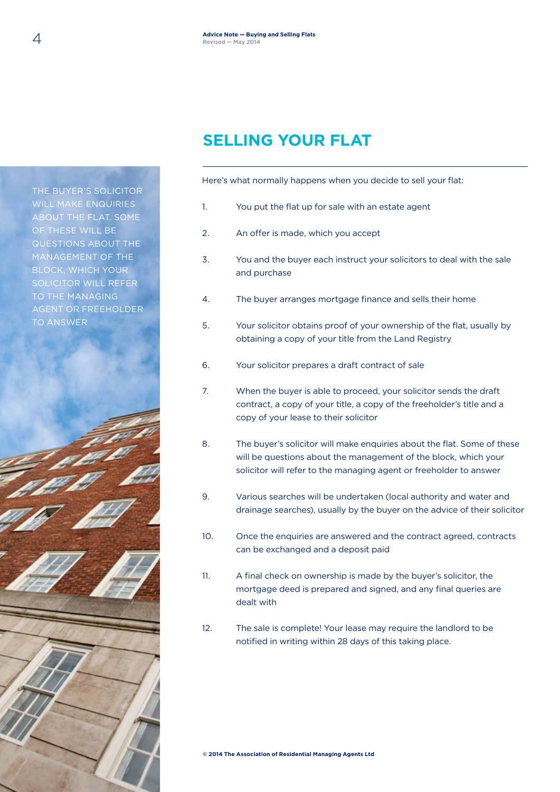# **SELLING YOUR FLAT**

Here's what normally happens when you decide to sell your flat:

- 1. You put the flat up for sale with an estate agent
- 2. An offer is made, which you accept
- 3. You and the buyer each instruct your solicitors to deal with the sale and purchase
- 4. The buyer arranges mortgage finance and sells their home
- 5. Your solicitor obtains proof of your ownership of the flat, usually by obtaining a copy of your title from the Land Registry
- 6. Your solicitor prepares a draft contract of sale
- 7. When the buyer is able to proceed, your solicitor sends the draft contract, a copy of your title, a copy of the freeholder's title and a copy of your lease to their solicitor
- 8. The buyer's solicitor will make enquiries about the flat. Some of these will be questions about the management of the block, which your solicitor will refer to the managing agent or freeholder to answer
- 9. Various searches will be undertaken (local authority and water and drainage searches), usually by the buyer on the advice of their solicitor
- 10. Once the enquiries are answered and the contract agreed, contracts can be exchanged and a deposit paid
- 11. A final check on ownership is made by the buyer's solicitor, the mortgage deed is prepared and signed, and any final queries are dealt with
- 12. The sale is complete! Your lease may require the landlord to be notified in writing within 28 days of this taking place.

THE BUYER'S SOLICITOR WILL MAKE ENQUIRIES ABOUT THE FLAT. SOME OF THESE WILL BE QUESTIONS ABOUT THE MANAGEMENT OF THE BLOCK, WHICH YOUR SOLICITOR WILL REFER TO THE MANAGING AGENT OR FREEHOLDER TO ANSWER



**© 2014 The Association of Residential Managing Agents Ltd**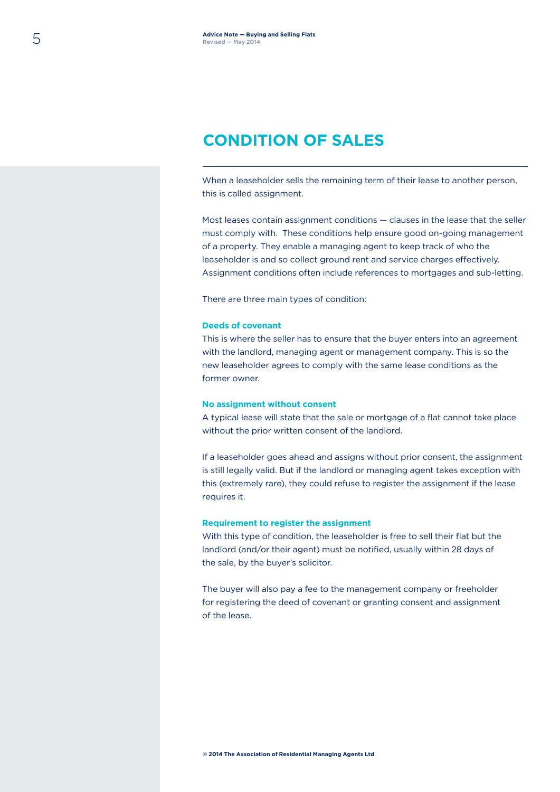### **CONDITION OF SALES**

When a leaseholder sells the remaining term of their lease to another person, this is called assignment.

Most leases contain assignment conditions — clauses in the lease that the seller must comply with. These conditions help ensure good on-going management of a property. They enable a managing agent to keep track of who the leaseholder is and so collect ground rent and service charges effectively. Assignment conditions often include references to mortgages and sub-letting.

There are three main types of condition:

#### **Deeds of covenant**

This is where the seller has to ensure that the buyer enters into an agreement with the landlord, managing agent or management company. This is so the new leaseholder agrees to comply with the same lease conditions as the former owner.

#### **No assignment without consent**

A typical lease will state that the sale or mortgage of a flat cannot take place without the prior written consent of the landlord.

If a leaseholder goes ahead and assigns without prior consent, the assignment is still legally valid. But if the landlord or managing agent takes exception with this (extremely rare), they could refuse to register the assignment if the lease requires it.

#### **Requirement to register the assignment**

With this type of condition, the leaseholder is free to sell their flat but the landlord (and/or their agent) must be notified, usually within 28 days of the sale, by the buyer's solicitor.

The buyer will also pay a fee to the management company or freeholder for registering the deed of covenant or granting consent and assignment of the lease.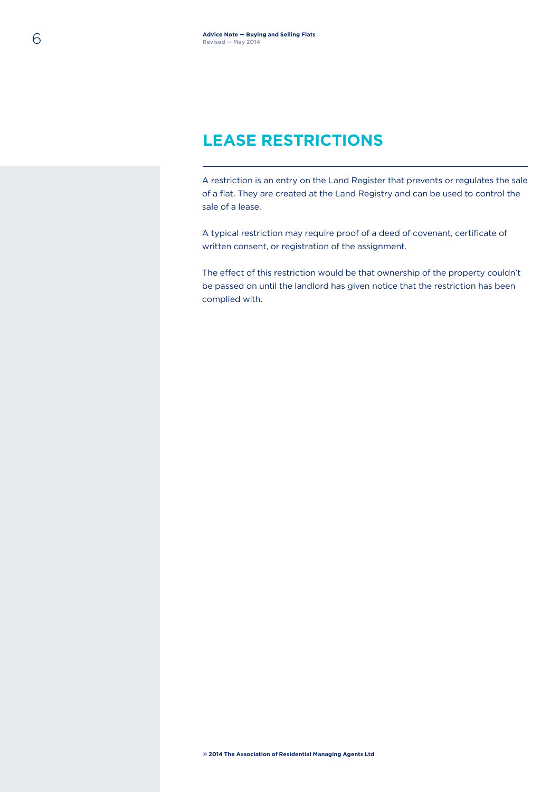### **LEASE RESTRICTIONS**

A restriction is an entry on the Land Register that prevents or regulates the sale of a flat. They are created at the Land Registry and can be used to control the sale of a lease.

A typical restriction may require proof of a deed of covenant, certificate of written consent, or registration of the assignment.

The effect of this restriction would be that ownership of the property couldn't be passed on until the landlord has given notice that the restriction has been complied with.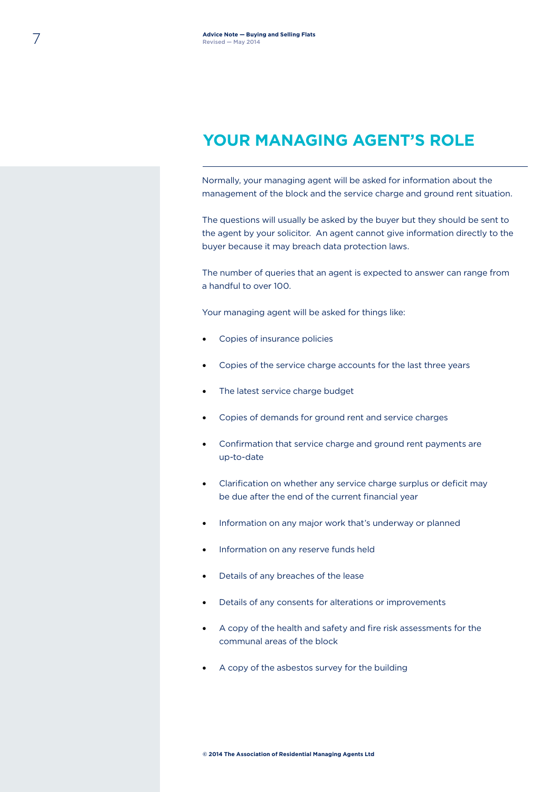### **YOUR MANAGING AGENT'S ROLE**

Normally, your managing agent will be asked for information about the management of the block and the service charge and ground rent situation.

The questions will usually be asked by the buyer but they should be sent to the agent by your solicitor. An agent cannot give information directly to the buyer because it may breach data protection laws.

The number of queries that an agent is expected to answer can range from a handful to over 100.

Your managing agent will be asked for things like:

- Copies of insurance policies
- Copies of the service charge accounts for the last three years
- The latest service charge budget
- Copies of demands for ground rent and service charges
- Confirmation that service charge and ground rent payments are up-to-date
- Clarification on whether any service charge surplus or deficit may be due after the end of the current financial year
- Information on any major work that's underway or planned
- Information on any reserve funds held
- Details of any breaches of the lease
- Details of any consents for alterations or improvements
- A copy of the health and safety and fire risk assessments for the communal areas of the block
- A copy of the asbestos survey for the building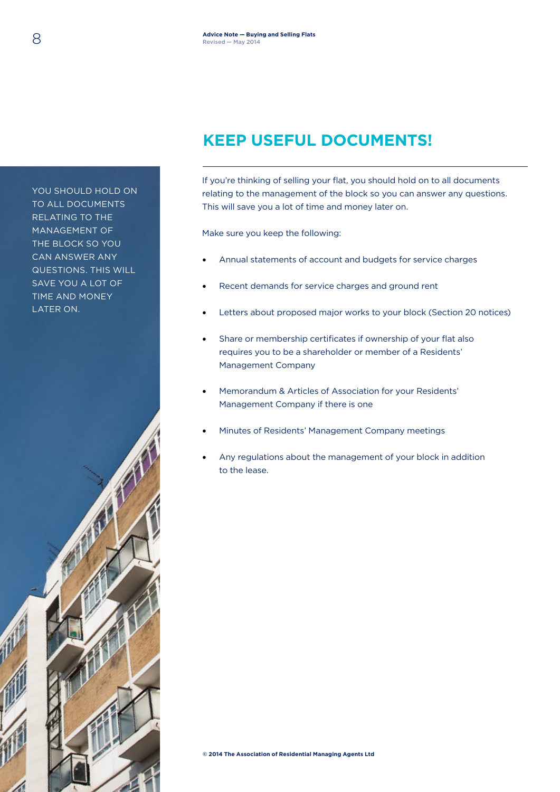# **KEEP USEFUL DOCUMENTS!**

If you're thinking of selling your flat, you should hold on to all documents relating to the management of the block so you can answer any questions. This will save you a lot of time and money later on.

Make sure you keep the following:

- Annual statements of account and budgets for service charges
- Recent demands for service charges and ground rent
- Letters about proposed major works to your block (Section 20 notices)
- Share or membership certificates if ownership of your flat also requires you to be a shareholder or member of a Residents' Management Company
- Memorandum & Articles of Association for your Residents' Management Company if there is one
- Minutes of Residents' Management Company meetings
- Any regulations about the management of your block in addition to the lease.

THE BLOCK SO YOU CAN ANSWER ANY QUESTIONS. THIS WILL SAVE YOU A LOT OF TIME AND MONEY LATER ON.

YOU SHOULD HOLD ON TO ALL DOCUMENTS RELATING TO THE MANAGEMENT OF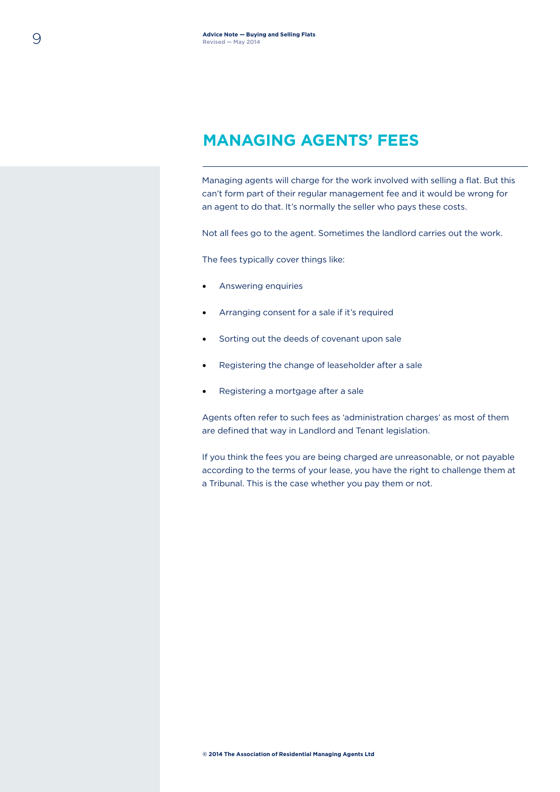### **MANAGING AGENTS' FEES**

Managing agents will charge for the work involved with selling a flat. But this can't form part of their regular management fee and it would be wrong for an agent to do that. It's normally the seller who pays these costs.

Not all fees go to the agent. Sometimes the landlord carries out the work.

The fees typically cover things like:

- Answering enquiries
- Arranging consent for a sale if it's required
- Sorting out the deeds of covenant upon sale
- Registering the change of leaseholder after a sale
- Registering a mortgage after a sale

Agents often refer to such fees as 'administration charges' as most of them are defined that way in Landlord and Tenant legislation.

If you think the fees you are being charged are unreasonable, or not payable according to the terms of your lease, you have the right to challenge them at a Tribunal. This is the case whether you pay them or not.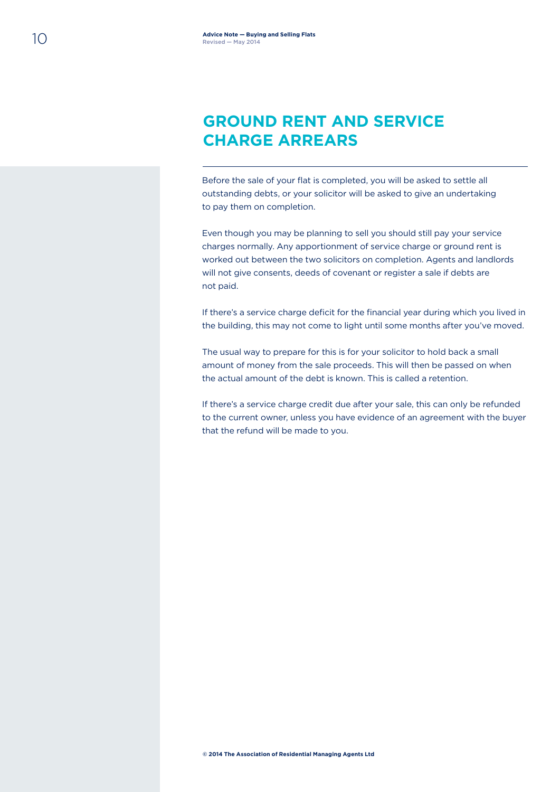### **GROUND RENT AND SERVICE CHARGE ARREARS**

Before the sale of your flat is completed, you will be asked to settle all outstanding debts, or your solicitor will be asked to give an undertaking to pay them on completion.

Even though you may be planning to sell you should still pay your service charges normally. Any apportionment of service charge or ground rent is worked out between the two solicitors on completion. Agents and landlords will not give consents, deeds of covenant or register a sale if debts are not paid.

If there's a service charge deficit for the financial year during which you lived in the building, this may not come to light until some months after you've moved.

The usual way to prepare for this is for your solicitor to hold back a small amount of money from the sale proceeds. This will then be passed on when the actual amount of the debt is known. This is called a retention.

If there's a service charge credit due after your sale, this can only be refunded to the current owner, unless you have evidence of an agreement with the buyer that the refund will be made to you.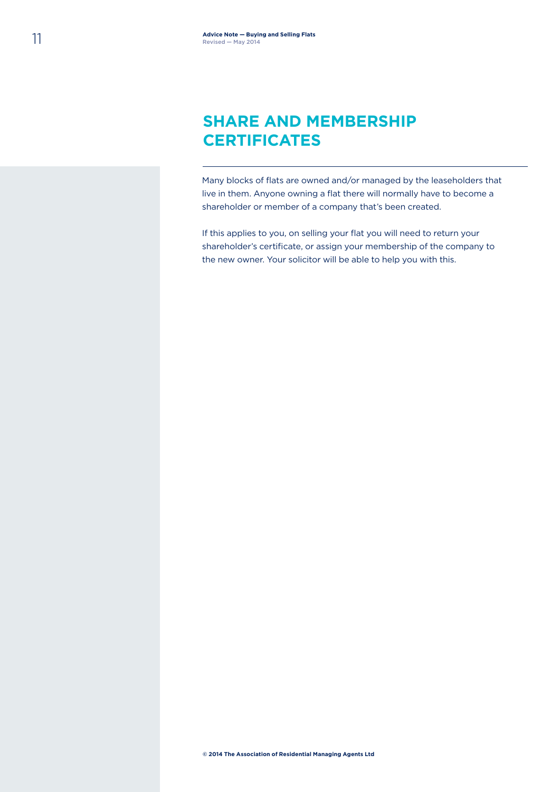### **SHARE AND MEMBERSHIP CERTIFICATES**

Many blocks of flats are owned and/or managed by the leaseholders that live in them. Anyone owning a flat there will normally have to become a shareholder or member of a company that's been created.

If this applies to you, on selling your flat you will need to return your shareholder's certificate, or assign your membership of the company to the new owner. Your solicitor will be able to help you with this.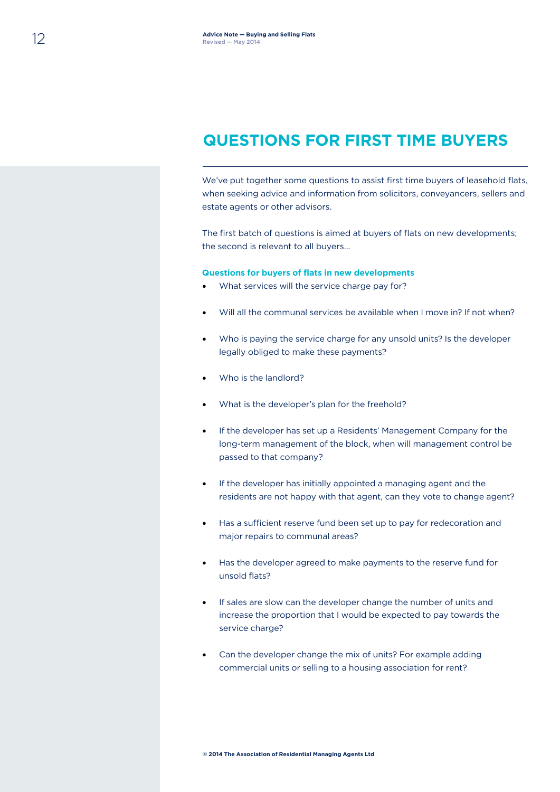#### **QUESTIONS FOR FIRST TIME BUYERS**

We've put together some questions to assist first time buyers of leasehold flats, when seeking advice and information from solicitors, conveyancers, sellers and estate agents or other advisors.

The first batch of questions is aimed at buyers of flats on new developments; the second is relevant to all buyers…

#### **Questions for buyers of flats in new developments**

- What services will the service charge pay for?
- Will all the communal services be available when I move in? If not when?
- Who is paying the service charge for any unsold units? Is the developer legally obliged to make these payments?
- Who is the landlord?
- What is the developer's plan for the freehold?
- If the developer has set up a Residents' Management Company for the long-term management of the block, when will management control be passed to that company?
- If the developer has initially appointed a managing agent and the residents are not happy with that agent, can they vote to change agent?
- Has a sufficient reserve fund been set up to pay for redecoration and major repairs to communal areas?
- Has the developer agreed to make payments to the reserve fund for unsold flats?
- If sales are slow can the developer change the number of units and increase the proportion that I would be expected to pay towards the service charge?
- Can the developer change the mix of units? For example adding commercial units or selling to a housing association for rent?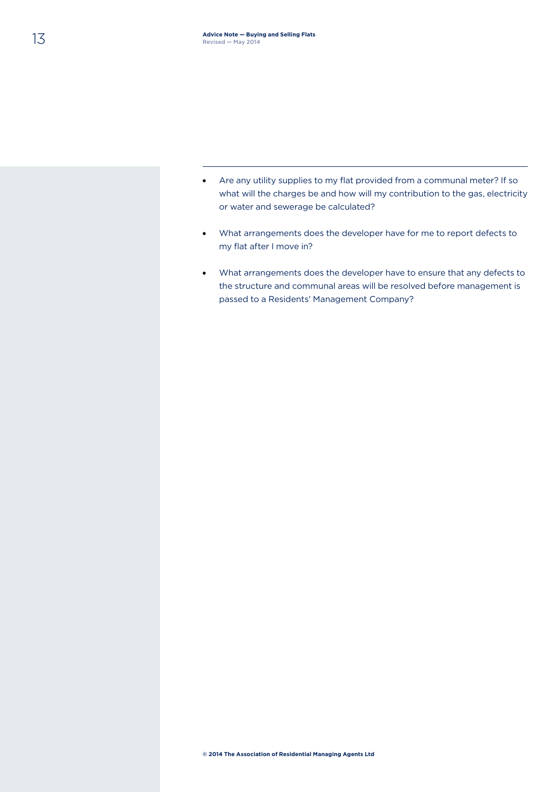- Are any utility supplies to my flat provided from a communal meter? If so what will the charges be and how will my contribution to the gas, electricity or water and sewerage be calculated?
- What arrangements does the developer have for me to report defects to my flat after I move in?
- What arrangements does the developer have to ensure that any defects to the structure and communal areas will be resolved before management is passed to a Residents' Management Company?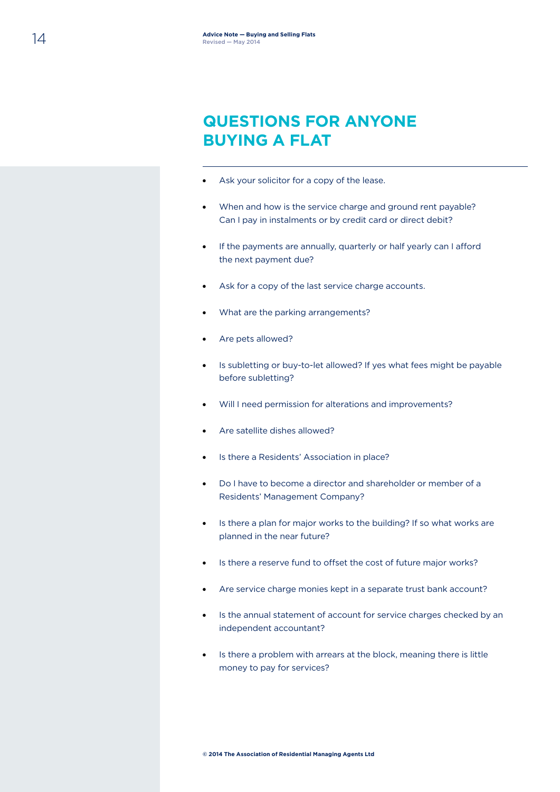### **QUESTIONS FOR ANYONE BUYING A FLAT**

- Ask your solicitor for a copy of the lease.
- When and how is the service charge and ground rent payable? Can I pay in instalments or by credit card or direct debit?
- If the payments are annually, quarterly or half yearly can I afford the next payment due?
- Ask for a copy of the last service charge accounts.
- What are the parking arrangements?
- Are pets allowed?
- Is subletting or buy-to-let allowed? If yes what fees might be payable before subletting?
- Will I need permission for alterations and improvements?
- Are satellite dishes allowed?
- Is there a Residents' Association in place?
- Do I have to become a director and shareholder or member of a Residents' Management Company?
- Is there a plan for major works to the building? If so what works are planned in the near future?
- Is there a reserve fund to offset the cost of future major works?
- Are service charge monies kept in a separate trust bank account?
- Is the annual statement of account for service charges checked by an independent accountant?
- Is there a problem with arrears at the block, meaning there is little money to pay for services?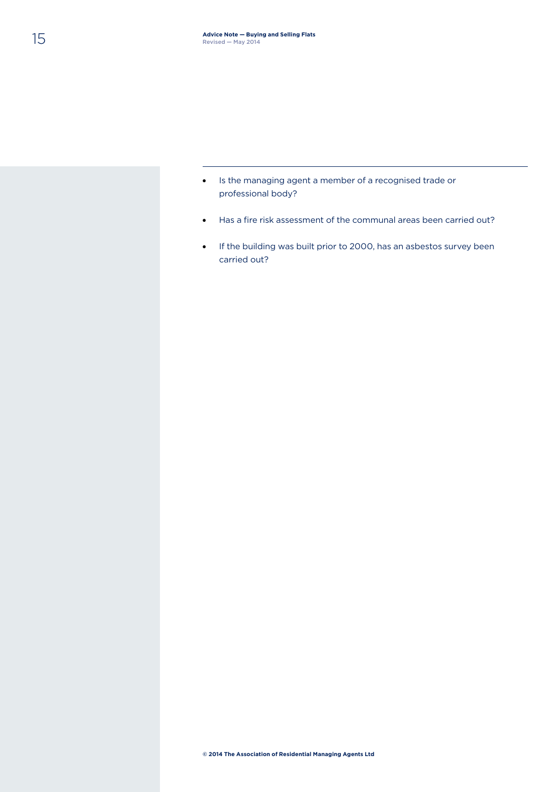- Is the managing agent a member of a recognised trade or professional body?
- Has a fire risk assessment of the communal areas been carried out?
- If the building was built prior to 2000, has an asbestos survey been carried out?